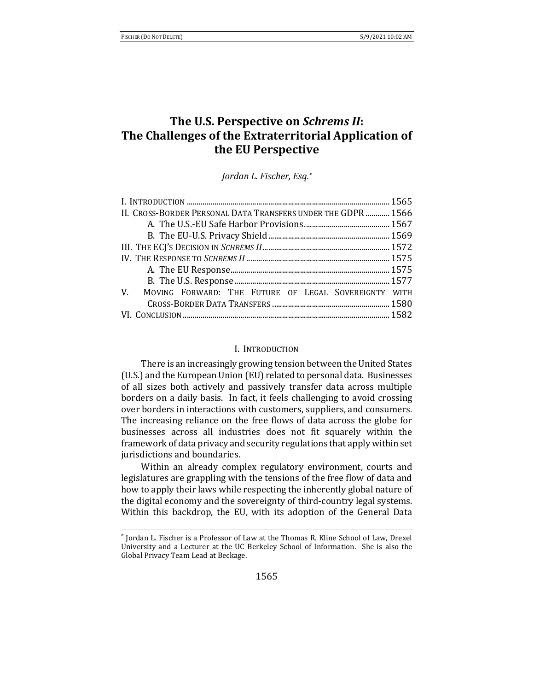# **The U.S. Perspective on** *Schrems II***: The Challenges of the Extraterritorial Application of the EU Perspective**

*Jordan L. Fischer, Esq.\**

| II. CROSS-BORDER PERSONAL DATA TRANSFERS UNDER THE GDPR  1566 |  |
|---------------------------------------------------------------|--|
|                                                               |  |
|                                                               |  |
|                                                               |  |
|                                                               |  |
|                                                               |  |
|                                                               |  |
| V. MOVING FORWARD: THE FUTURE OF LEGAL SOVEREIGNTY WITH       |  |
|                                                               |  |
|                                                               |  |

#### I. INTRODUCTION

There is an increasingly growing tension between the United States (U.S.) and the European Union (EU) related to personal data. Businesses of all sizes both actively and passively transfer data across multiple borders on a daily basis. In fact, it feels challenging to avoid crossing over borders in interactions with customers, suppliers, and consumers. The increasing reliance on the free flows of data across the globe for businesses across all industries does not fit squarely within the framework of data privacy and security regulations that apply within set jurisdictions and boundaries.

Within an already complex regulatory environment, courts and legislatures are grappling with the tensions of the free flow of data and how to apply their laws while respecting the inherently global nature of the digital economy and the sovereignty of third-country legal systems. Within this backdrop, the EU, with its adoption of the General Data

<sup>\*</sup> Jordan L. Fischer is a Professor of Law at the Thomas R. Kline School of Law, Drexel University and a Lecturer at the UC Berkeley School of Information. She is also the Global Privacy Team Lead at Beckage.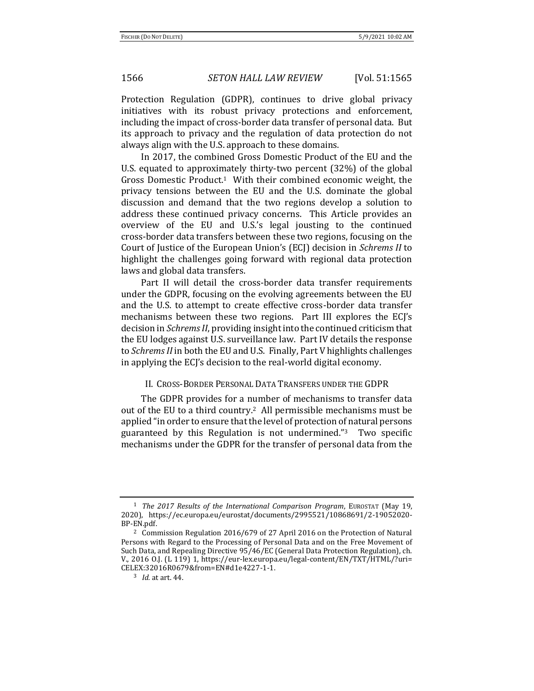Protection Regulation (GDPR), continues to drive global privacy initiatives with its robust privacy protections and enforcement, including the impact of cross-border data transfer of personal data. But its approach to privacy and the regulation of data protection do not always align with the U.S. approach to these domains.

In 2017, the combined Gross Domestic Product of the EU and the U.S. equated to approximately thirty-two percent (32%) of the global Gross Domestic Product.1 With their combined economic weight, the privacy tensions between the EU and the U.S. dominate the global discussion and demand that the two regions develop a solution to address these continued privacy concerns. This Article provides an overview of the EU and U.S.'s legal jousting to the continued cross-border data transfers between these two regions, focusing on the Court of Justice of the European Union's (ECJ) decision in *Schrems II* to highlight the challenges going forward with regional data protection laws and global data transfers.

Part II will detail the cross-border data transfer requirements under the GDPR, focusing on the evolving agreements between the EU and the U.S. to attempt to create effective cross-border data transfer mechanisms between these two regions. Part III explores the ECJ's decision in *Schrems II*, providing insight into the continued criticism that the EU lodges against U.S. surveillance law. Part IV details the response to *Schrems II* in both the EU and U.S. Finally, Part V highlights challenges in applying the ECJ's decision to the real-world digital economy.

### II. CROSS-BORDER PERSONAL DATA TRANSFERS UNDER THE GDPR

The GDPR provides for a number of mechanisms to transfer data out of the EU to a third country.2 All permissible mechanisms must be applied "in order to ensure that the level of protection of natural persons guaranteed by this Regulation is not undermined."3 Two specific mechanisms under the GDPR for the transfer of personal data from the

<sup>1</sup> *The 2017 Results of the International Comparison Program*, EUROSTAT (May 19, 2020), https://ec.europa.eu/eurostat/documents/2995521/10868691/2-19052020- BP-EN.pdf.

<sup>2</sup> Commission Regulation 2016/679 of 27 April 2016 on the Protection of Natural Persons with Regard to the Processing of Personal Data and on the Free Movement of Such Data, and Repealing Directive 95/46/EC (General Data Protection Regulation), ch. V., 2016 O.J. (L 119) 1, https://eur-lex.europa.eu/legal-content/EN/TXT/HTML/?uri= CELEX:32016R0679&from=EN#d1e4227-1-1.

<sup>3</sup> *Id.* at art. 44.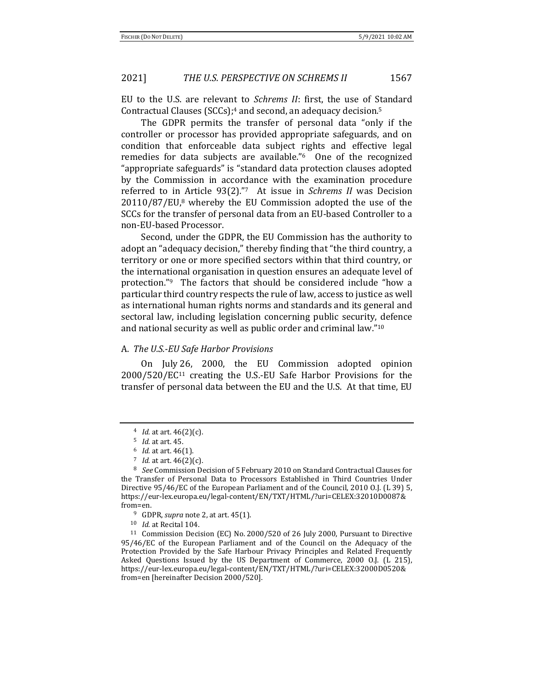EU to the U.S. are relevant to *Schrems II*: first, the use of Standard Contractual Clauses (SCCs); <sup>4</sup> and second, an adequacy decision.<sup>5</sup>

The GDPR permits the transfer of personal data "only if the controller or processor has provided appropriate safeguards, and on condition that enforceable data subject rights and effective legal remedies for data subjects are available."6 One of the recognized "appropriate safeguards" is "standard data protection clauses adopted by the Commission in accordance with the examination procedure referred to in Article 93(2)."7 At issue in *Schrems II* was Decision 20110/87/EU,<sup>8</sup> whereby the EU Commission adopted the use of the SCCs for the transfer of personal data from an EU-based Controller to a non-EU-based Processor.

Second, under the GDPR, the EU Commission has the authority to adopt an "adequacy decision," thereby finding that "the third country, a territory or one or more specified sectors within that third country, or the international organisation in question ensures an adequate level of protection."<sup>9</sup> The factors that should be considered include "how a particular third country respects the rule of law, access to justice as well as international human rights norms and standards and its general and sectoral law, including legislation concerning public security, defence and national security as well as public order and criminal law."<sup>10</sup>

#### A. *The U.S.-EU Safe Harbor Provisions*

On July 26, 2000, the EU Commission adopted opinion 2000/520/EC<sup>11</sup> creating the U.S.-EU Safe Harbor Provisions for the transfer of personal data between the EU and the U.S. At that time, EU

<sup>4</sup> *Id.* at art. 46(2)(c).

<sup>5</sup> *Id.* at art. 45.

<sup>6</sup> *Id.* at art. 46(1).

<sup>7</sup> *Id.* at art. 46(2)(c).

<sup>8</sup> *See* Commission Decision of 5 February 2010 on Standard Contractual Clauses for the Transfer of Personal Data to Processors Established in Third Countries Under Directive 95/46/EC of the European Parliament and of the Council, 2010 O.J. (L 39) 5, https://eur-lex.europa.eu/legal-content/EN/TXT/HTML/?uri=CELEX:32010D0087& from=en.

<sup>9</sup> GDPR, *supra* note 2, at art. 45(1).

<sup>10</sup> *Id.* at Recital 104.

<sup>11</sup> Commission Decision (EC) No. 2000/520 of 26 July 2000, Pursuant to Directive 95/46/EC of the European Parliament and of the Council on the Adequacy of the Protection Provided by the Safe Harbour Privacy Principles and Related Frequently Asked Questions Issued by the US Department of Commerce, 2000 O.J. (L 215), https://eur-lex.europa.eu/legal-content/EN/TXT/HTML/?uri=CELEX:32000D0520& from=en [hereinafter Decision 2000/520].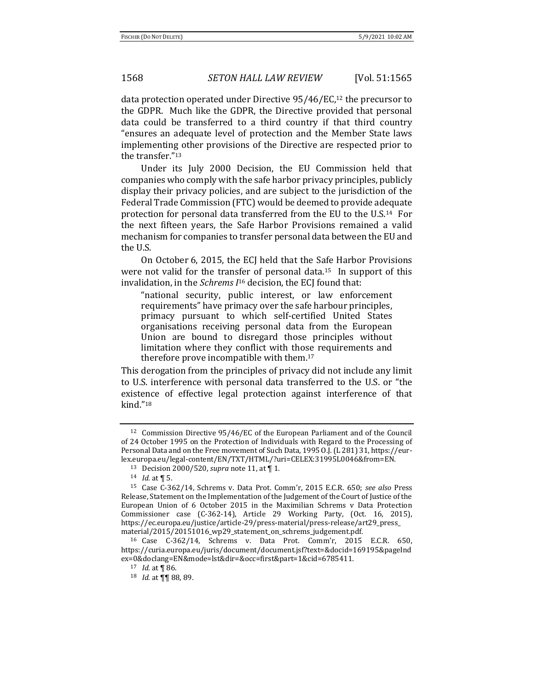data protection operated under Directive 95/46/EC,<sup>12</sup> the precursor to the GDPR. Much like the GDPR, the Directive provided that personal data could be transferred to a third country if that third country "ensures an adequate level of protection and the Member State laws implementing other provisions of the Directive are respected prior to the transfer."<sup>13</sup>

Under its July 2000 Decision, the EU Commission held that companies who comply with the safe harbor privacy principles, publicly display their privacy policies, and are subject to the jurisdiction of the Federal Trade Commission (FTC) would be deemed to provide adequate protection for personal data transferred from the EU to the U.S.14 For the next fifteen years, the Safe Harbor Provisions remained a valid mechanism for companies to transfer personal data between the EU and the U.S.

On October 6, 2015, the ECJ held that the Safe Harbor Provisions were not valid for the transfer of personal data.<sup>15</sup> In support of this invalidation, in the *Schrems I*<sup>16</sup> decision, the ECJ found that:

"national security, public interest, or law enforcement requirements" have primacy over the safe harbour principles, primacy pursuant to which self-certified United States organisations receiving personal data from the European Union are bound to disregard those principles without limitation where they conflict with those requirements and therefore prove incompatible with them.<sup>17</sup>

This derogation from the principles of privacy did not include any limit to U.S. interference with personal data transferred to the U.S. or "the existence of effective legal protection against interference of that kind."<sup>18</sup>

<sup>12</sup> Commission Directive 95/46/EC of the European Parliament and of the Council of 24 October 1995 on the Protection of Individuals with Regard to the Processing of Personal Data and on the Free movement of Such Data, 1995 O.J. (L 281) 31, https://eurlex.europa.eu/legal-content/EN/TXT/HTML/?uri=CELEX:31995L0046&from=EN.

<sup>13</sup> Decision 2000/520, *supra* note 11, at ¶ 1.

<sup>14</sup> *Id.* at ¶ 5.

<sup>15</sup> Case C-362/14, Schrems v. Data Prot. Comm'r, 2015 E.C.R. 650; *see also* Press Release, Statement on the Implementation of the Judgement of the Court of Justice of the European Union of 6 October 2015 in the Maximilian Schrems v Data Protection Commissioner case (C-362-14), Article 29 Working Party, (Oct. 16, 2015), https://ec.europa.eu/justice/article-29/press-material/press-release/art29\_press\_ material/2015/20151016\_wp29\_statement\_on\_schrems\_judgement.pdf.

<sup>16</sup> Case C-362/14, Schrems v. Data Prot. Comm'r, 2015 E.C.R. 650, https://curia.europa.eu/juris/document/document.jsf?text=&docid=169195&pageInd ex=0&doclang=EN&mode=lst&dir=&occ=first&part=1&cid=6785411.

<sup>17</sup> *Id.* at ¶ 86.

<sup>18</sup> *Id.* at ¶¶ 88, 89.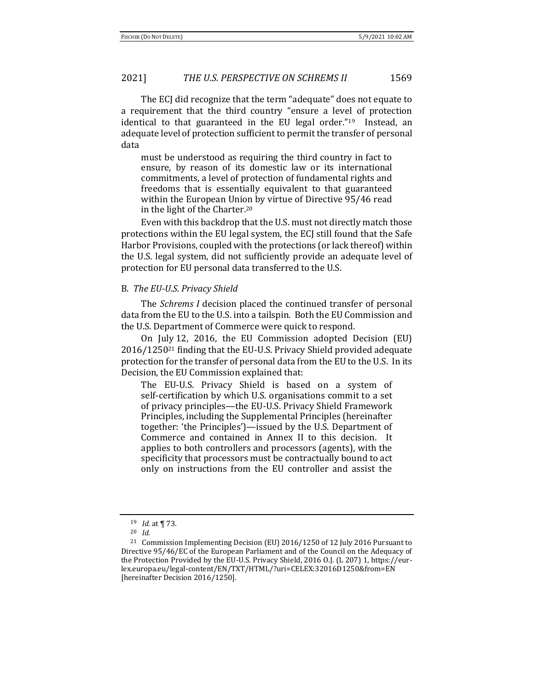The ECJ did recognize that the term "adequate" does not equate to a requirement that the third country "ensure a level of protection identical to that guaranteed in the EU legal order."<sup>19</sup> Instead, an adequate level of protection sufficient to permit the transfer of personal data

must be understood as requiring the third country in fact to ensure, by reason of its domestic law or its international commitments, a level of protection of fundamental rights and freedoms that is essentially equivalent to that guaranteed within the European Union by virtue of Directive 95/46 read in the light of the Charter.<sup>20</sup>

Even with this backdrop that the U.S. must not directly match those protections within the EU legal system, the ECJ still found that the Safe Harbor Provisions, coupled with the protections (or lack thereof) within the U.S. legal system, did not sufficiently provide an adequate level of protection for EU personal data transferred to the U.S.

#### B. *The EU-U.S. Privacy Shield*

The *Schrems I* decision placed the continued transfer of personal data from the EU to the U.S. into a tailspin. Both the EU Commission and the U.S. Department of Commerce were quick to respond.

On July 12, 2016, the EU Commission adopted Decision (EU) 2016/1250<sup>21</sup> finding that the EU-U.S. Privacy Shield provided adequate protection for the transfer of personal data from the EU to the U.S. In its Decision, the EU Commission explained that:

The EU-U.S. Privacy Shield is based on a system of self-certification by which U.S. organisations commit to a set of privacy principles—the EU-U.S. Privacy Shield Framework Principles, including the Supplemental Principles (hereinafter together: 'the Principles')—issued by the U.S. Department of Commerce and contained in Annex II to this decision. It applies to both controllers and processors (agents), with the specificity that processors must be contractually bound to act only on instructions from the EU controller and assist the

<sup>19</sup> *Id.* at ¶ 73.

<sup>20</sup> *Id.*

<sup>21</sup> Commission Implementing Decision (EU) 2016/1250 of 12 July 2016 Pursuant to Directive 95/46/EC of the European Parliament and of the Council on the Adequacy of the Protection Provided by the EU-U.S. Privacy Shield, 2016 O.J. (L 207) 1, https://eurlex.europa.eu/legal-content/EN/TXT/HTML/?uri=CELEX:32016D1250&from=EN [hereinafter Decision 2016/1250].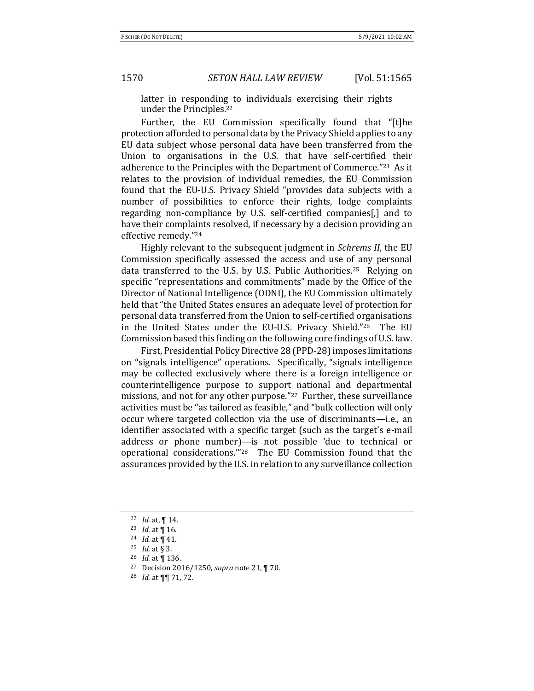latter in responding to individuals exercising their rights under the Principles.<sup>22</sup>

Further, the EU Commission specifically found that "[t]he protection afforded to personal data by the Privacy Shield applies to any EU data subject whose personal data have been transferred from the Union to organisations in the U.S. that have self-certified their adherence to the Principles with the Department of Commerce."23 As it relates to the provision of individual remedies, the EU Commission found that the EU-U.S. Privacy Shield "provides data subjects with a number of possibilities to enforce their rights, lodge complaints regarding non-compliance by U.S. self-certified companies[,] and to have their complaints resolved, if necessary by a decision providing an effective remedy."<sup>24</sup>

Highly relevant to the subsequent judgment in *Schrems II*, the EU Commission specifically assessed the access and use of any personal data transferred to the U.S. by U.S. Public Authorities.<sup>25</sup> Relying on specific "representations and commitments" made by the Office of the Director of National Intelligence (ODNI), the EU Commission ultimately held that "the United States ensures an adequate level of protection for personal data transferred from the Union to self-certified organisations in the United States under the EU-U.S. Privacy Shield."26 The EU Commission based this finding on the following core findings of U.S. law.

First, Presidential Policy Directive 28 (PPD-28) imposes limitations on "signals intelligence" operations. Specifically, "signals intelligence may be collected exclusively where there is a foreign intelligence or counterintelligence purpose to support national and departmental missions, and not for any other purpose."27 Further, these surveillance activities must be "as tailored as feasible," and "bulk collection will only occur where targeted collection via the use of discriminants—i.e., an identifier associated with a specific target (such as the target's e-mail address or phone number)—is not possible 'due to technical or operational considerations.'"28 The EU Commission found that the assurances provided by the U.S. in relation to any surveillance collection

<sup>22</sup> *Id.* at, ¶ 14.

<sup>23</sup> *Id.* at ¶ 16.

<sup>24</sup> *Id.* at ¶ 41.

<sup>25</sup> *Id.* at § 3.

<sup>26</sup> *Id*. at ¶ 136.

<sup>27</sup> Decision 2016/1250, *supra* note 21, ¶ 70.

<sup>28</sup> *Id.* at ¶¶ 71, 72.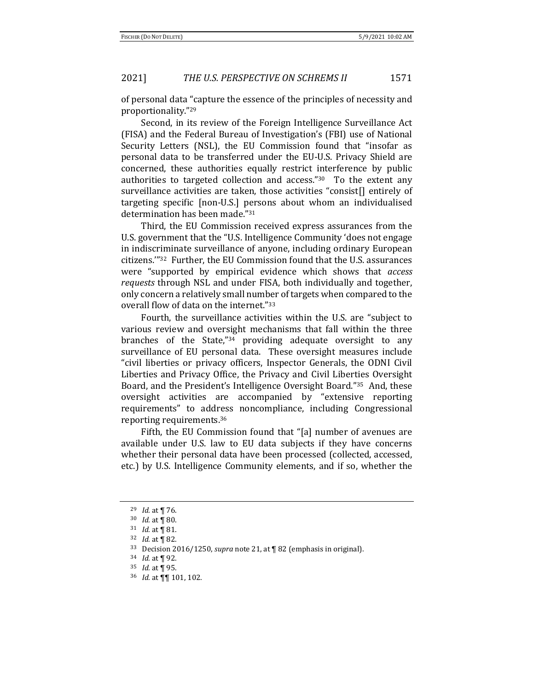of personal data "capture the essence of the principles of necessity and proportionality."<sup>29</sup>

Second, in its review of the Foreign Intelligence Surveillance Act (FISA) and the Federal Bureau of Investigation's (FBI) use of National Security Letters (NSL), the EU Commission found that "insofar as personal data to be transferred under the EU-U.S. Privacy Shield are concerned, these authorities equally restrict interference by public authorities to targeted collection and access."30 To the extent any surveillance activities are taken, those activities "consist[] entirely of targeting specific [non-U.S.] persons about whom an individualised determination has been made."<sup>31</sup>

Third, the EU Commission received express assurances from the U.S. government that the "U.S. Intelligence Community 'does not engage in indiscriminate surveillance of anyone, including ordinary European citizens.'"32 Further, the EU Commission found that the U.S. assurances were "supported by empirical evidence which shows that *access requests* through NSL and under FISA, both individually and together, only concern a relatively small number of targets when compared to the overall flow of data on the internet."<sup>33</sup>

Fourth, the surveillance activities within the U.S. are "subject to various review and oversight mechanisms that fall within the three branches of the State,"<sup>34</sup> providing adequate oversight to any surveillance of EU personal data. These oversight measures include "civil liberties or privacy officers, Inspector Generals, the ODNI Civil Liberties and Privacy Office, the Privacy and Civil Liberties Oversight Board, and the President's Intelligence Oversight Board."35 And, these oversight activities are accompanied by "extensive reporting requirements" to address noncompliance, including Congressional reporting requirements.<sup>36</sup>

Fifth, the EU Commission found that "[a] number of avenues are available under U.S. law to EU data subjects if they have concerns whether their personal data have been processed (collected, accessed, etc.) by U.S. Intelligence Community elements, and if so, whether the

<sup>29</sup> *Id.* at ¶ 76.

<sup>30</sup> *Id.* at ¶ 80.

<sup>31</sup> *Id.* at ¶ 81.

<sup>32</sup> *Id.* at ¶ 82.

<sup>33</sup> Decision 2016/1250, *supra* note 21, at ¶ 82 (emphasis in original).

<sup>34</sup> *Id.* at ¶ 92.

<sup>35</sup> *Id.* at ¶ 95.

<sup>36</sup> *Id.* at ¶¶ 101, 102.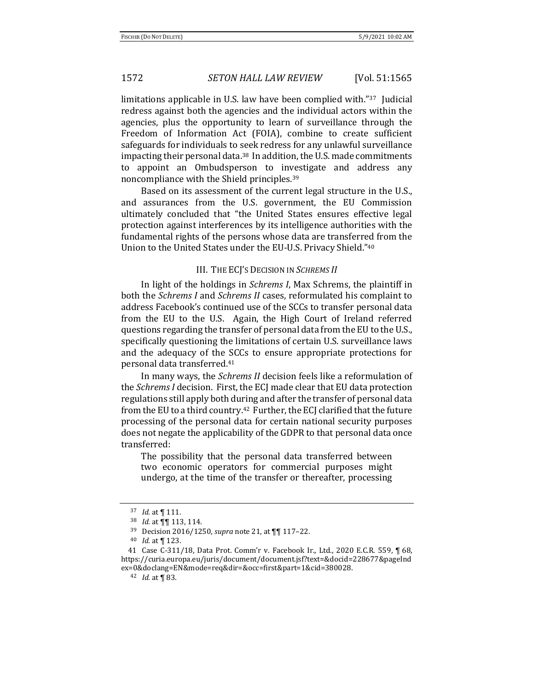limitations applicable in U.S. law have been complied with."37 Judicial redress against both the agencies and the individual actors within the agencies, plus the opportunity to learn of surveillance through the Freedom of Information Act (FOIA), combine to create sufficient safeguards for individuals to seek redress for any unlawful surveillance impacting their personal data.<sup>38</sup> In addition, the U.S. made commitments to appoint an Ombudsperson to investigate and address any noncompliance with the Shield principles.<sup>39</sup>

Based on its assessment of the current legal structure in the U.S., and assurances from the U.S. government, the EU Commission ultimately concluded that "the United States ensures effective legal protection against interferences by its intelligence authorities with the fundamental rights of the persons whose data are transferred from the Union to the United States under the EU-U.S. Privacy Shield."<sup>40</sup>

### III. THE ECJ'S DECISION IN *SCHREMS II*

In light of the holdings in *Schrems I*, Max Schrems, the plaintiff in both the *Schrems I* and *Schrems II* cases, reformulated his complaint to address Facebook's continued use of the SCCs to transfer personal data from the EU to the U.S. Again, the High Court of Ireland referred questions regarding the transfer of personal data from the EU to the U.S., specifically questioning the limitations of certain U.S. surveillance laws and the adequacy of the SCCs to ensure appropriate protections for personal data transferred.<sup>41</sup>

In many ways, the *Schrems II* decision feels like a reformulation of the *Schrems I* decision. First, the ECJ made clear that EU data protection regulations still apply both during and after the transfer of personal data from the EU to a third country.42 Further, the ECJ clarified that the future processing of the personal data for certain national security purposes does not negate the applicability of the GDPR to that personal data once transferred:

The possibility that the personal data transferred between two economic operators for commercial purposes might undergo, at the time of the transfer or thereafter, processing

<sup>37</sup> *Id.* at ¶ 111.

<sup>38</sup> *Id.* at ¶¶ 113, 114.

<sup>39</sup> Decision 2016/1250, *supra* note 21, at ¶¶ 117–22.

<sup>40</sup> *Id.* at ¶ 123.

<sup>41</sup> Case C-311/18, Data Prot. Comm'r v. Facebook Ir., Ltd., 2020 E.C.R. 559, ¶ 68, https://curia.europa.eu/juris/document/document.jsf?text=&docid=228677&pageInd ex=0&doclang=EN&mode=req&dir=&occ=first&part=1&cid=380028.

<sup>42</sup> *Id.* at ¶ 83.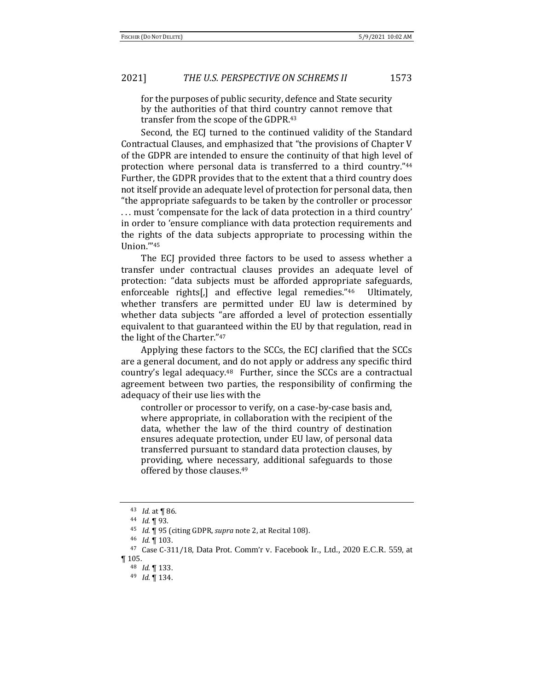for the purposes of public security, defence and State security by the authorities of that third country cannot remove that transfer from the scope of the GDPR.<sup>43</sup>

Second, the ECJ turned to the continued validity of the Standard Contractual Clauses, and emphasized that "the provisions of Chapter V of the GDPR are intended to ensure the continuity of that high level of protection where personal data is transferred to a third country."<sup>44</sup> Further, the GDPR provides that to the extent that a third country does not itself provide an adequate level of protection for personal data, then "the appropriate safeguards to be taken by the controller or processor . . . must 'compensate for the lack of data protection in a third country' in order to 'ensure compliance with data protection requirements and the rights of the data subjects appropriate to processing within the Union.'"<sup>45</sup>

The ECJ provided three factors to be used to assess whether a transfer under contractual clauses provides an adequate level of protection: "data subjects must be afforded appropriate safeguards, enforceable rights[,] and effective legal remedies."46 Ultimately, whether transfers are permitted under EU law is determined by whether data subjects "are afforded a level of protection essentially equivalent to that guaranteed within the EU by that regulation, read in the light of the Charter."<sup>47</sup>

Applying these factors to the SCCs, the ECJ clarified that the SCCs are a general document, and do not apply or address any specific third country's legal adequacy.48 Further, since the SCCs are a contractual agreement between two parties, the responsibility of confirming the adequacy of their use lies with the

controller or processor to verify, on a case-by-case basis and, where appropriate, in collaboration with the recipient of the data, whether the law of the third country of destination ensures adequate protection, under EU law, of personal data transferred pursuant to standard data protection clauses, by providing, where necessary, additional safeguards to those offered by those clauses.<sup>49</sup>

<sup>43</sup> *Id.* at ¶ 86.

<sup>44</sup> *Id.* ¶ 93.

<sup>45</sup> *Id.* ¶ 95 (citing GDPR, *supra* note 2, at Recital 108).

<sup>46</sup> *Id*. ¶ 103.

<sup>47</sup> Case C-311/18, Data Prot. Comm'r v. Facebook Ir., Ltd., 2020 E.C.R. 559, at  $\P$  105.

<sup>48</sup> *Id*. ¶ 133.

<sup>49</sup> *Id*. ¶ 134.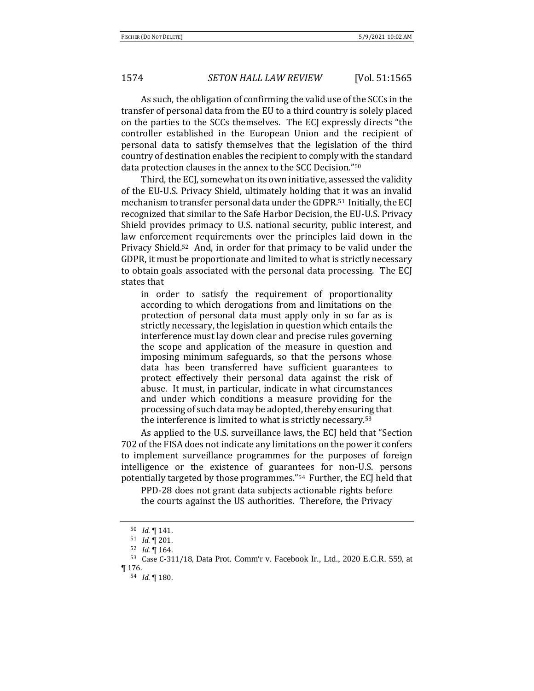As such, the obligation of confirming the valid use of the SCCs in the transfer of personal data from the EU to a third country is solely placed on the parties to the SCCs themselves. The ECJ expressly directs "the controller established in the European Union and the recipient of personal data to satisfy themselves that the legislation of the third country of destination enables the recipient to comply with the standard data protection clauses in the annex to the SCC Decision."<sup>50</sup>

Third, the ECJ, somewhat on its own initiative, assessed the validity of the EU-U.S. Privacy Shield, ultimately holding that it was an invalid mechanism to transfer personal data under the GDPR.51 Initially, the ECJ recognized that similar to the Safe Harbor Decision, the EU-U.S. Privacy Shield provides primacy to U.S. national security, public interest, and law enforcement requirements over the principles laid down in the Privacy Shield.52 And, in order for that primacy to be valid under the GDPR, it must be proportionate and limited to what is strictly necessary to obtain goals associated with the personal data processing. The ECJ states that

in order to satisfy the requirement of proportionality according to which derogations from and limitations on the protection of personal data must apply only in so far as is strictly necessary, the legislation in question which entails the interference must lay down clear and precise rules governing the scope and application of the measure in question and imposing minimum safeguards, so that the persons whose data has been transferred have sufficient guarantees to protect effectively their personal data against the risk of abuse. It must, in particular, indicate in what circumstances and under which conditions a measure providing for the processing of such data may be adopted, thereby ensuring that the interference is limited to what is strictly necessary.<sup>53</sup>

As applied to the U.S. surveillance laws, the ECJ held that "Section 702 of the FISA does not indicate any limitations on the power it confers to implement surveillance programmes for the purposes of foreign intelligence or the existence of guarantees for non-U.S. persons potentially targeted by those programmes."54 Further, the ECJ held that

PPD-28 does not grant data subjects actionable rights before the courts against the US authorities. Therefore, the Privacy

<sup>50</sup> *Id*. ¶ 141.

<sup>51</sup> *Id*. ¶ 201.

<sup>52</sup> *Id*. ¶ 164.

<sup>53</sup> Case C-311/18, Data Prot. Comm'r v. Facebook Ir., Ltd., 2020 E.C.R. 559, at ¶ 176.

<sup>54</sup> *Id*. ¶ 180.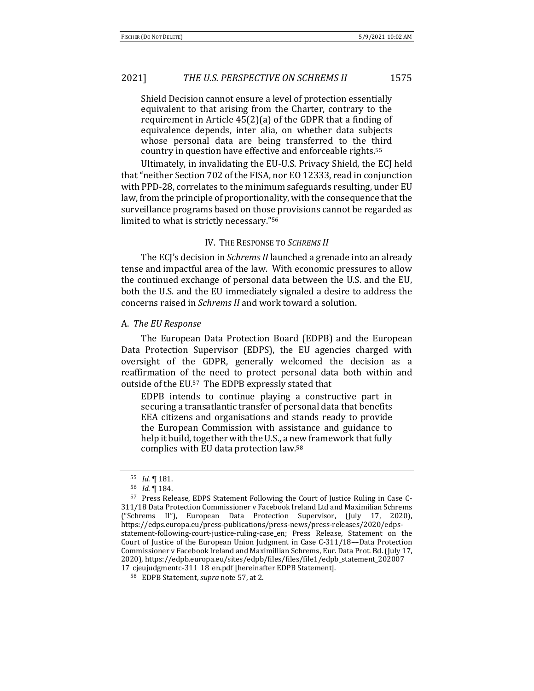Shield Decision cannot ensure a level of protection essentially equivalent to that arising from the Charter, contrary to the requirement in Article 45(2)(a) of the GDPR that a finding of equivalence depends, inter alia, on whether data subjects whose personal data are being transferred to the third country in question have effective and enforceable rights.<sup>55</sup>

Ultimately, in invalidating the EU-U.S. Privacy Shield, the ECJ held that "neither Section 702 of the FISA, nor EO 12333, read in conjunction with PPD-28, correlates to the minimum safeguards resulting, under EU law, from the principle of proportionality, with the consequence that the surveillance programs based on those provisions cannot be regarded as limited to what is strictly necessary."<sup>56</sup>

### IV. THE RESPONSE TO *SCHREMS II*

The ECJ's decision in *Schrems II* launched a grenade into an already tense and impactful area of the law. With economic pressures to allow the continued exchange of personal data between the U.S. and the EU, both the U.S. and the EU immediately signaled a desire to address the concerns raised in *Schrems II* and work toward a solution.

#### A. *The EU Response*

The European Data Protection Board (EDPB) and the European Data Protection Supervisor (EDPS), the EU agencies charged with oversight of the GDPR, generally welcomed the decision as a reaffirmation of the need to protect personal data both within and outside of the EU.57 The EDPB expressly stated that

EDPB intends to continue playing a constructive part in securing a transatlantic transfer of personal data that benefits EEA citizens and organisations and stands ready to provide the European Commission with assistance and guidance to help it build, together with the U.S., a new framework that fully complies with EU data protection law.<sup>58</sup>

<sup>55</sup> *Id*. ¶ 181.

<sup>56</sup> *Id*. ¶ 184.

<sup>57</sup> Press Release, EDPS Statement Following the Court of Justice Ruling in Case C-311/18 Data Protection Commissioner v Facebook Ireland Ltd and Maximilian Schrems ("Schrems II"), European Data Protection Supervisor, (July 17, 2020), https://edps.europa.eu/press-publications/press-news/press-releases/2020/edpsstatement-following-court-justice-ruling-case\_en; Press Release, Statement on the Court of Justice of the European Union Judgment in Case C-311/18––Data Protection Commissioner v Facebook Ireland and Maximillian Schrems, Eur. Data Prot. Bd. (July 17, 2020), https://edpb.europa.eu/sites/edpb/files/files/file1/edpb\_statement\_202007 17\_cjeujudgmentc-311\_18\_en.pdf [hereinafter EDPB Statement].

<sup>58</sup> EDPB Statement, *supra* note 57, at 2.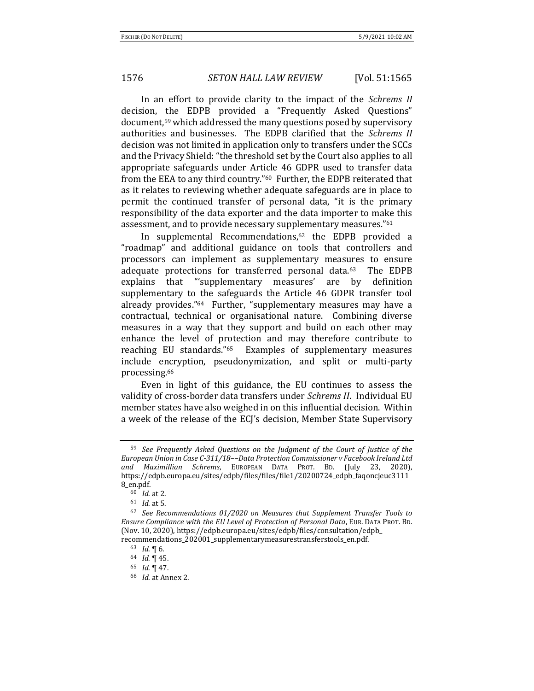In an effort to provide clarity to the impact of the *Schrems II* decision, the EDPB provided a "Frequently Asked Questions" document,<sup>59</sup> which addressed the many questions posed by supervisory authorities and businesses. The EDPB clarified that the *Schrems II* decision was not limited in application only to transfers under the SCCs and the Privacy Shield: "the threshold set by the Court also applies to all appropriate safeguards under Article 46 GDPR used to transfer data from the EEA to any third country."60 Further, the EDPB reiterated that as it relates to reviewing whether adequate safeguards are in place to permit the continued transfer of personal data, "it is the primary responsibility of the data exporter and the data importer to make this assessment, and to provide necessary supplementary measures."<sup>61</sup>

In supplemental Recommendations,<sup>62</sup> the EDPB provided a "roadmap" and additional guidance on tools that controllers and processors can implement as supplementary measures to ensure adequate protections for transferred personal data.63 The EDPB explains that "'supplementary measures' are by definition supplementary to the safeguards the Article 46 GDPR transfer tool already provides."<sup>64</sup> Further, "supplementary measures may have a contractual, technical or organisational nature. Combining diverse measures in a way that they support and build on each other may enhance the level of protection and may therefore contribute to reaching EU standards."65 Examples of supplementary measures include encryption, pseudonymization, and split or multi-party processing.<sup>66</sup>

Even in light of this guidance, the EU continues to assess the validity of cross-border data transfers under *Schrems II*. Individual EU member states have also weighed in on this influential decision. Within a week of the release of the ECJ's decision, Member State Supervisory

<sup>59</sup> *See Frequently Asked Questions on the Judgment of the Court of Justice of the European Union in Case C-311/18––Data Protection Commissioner v Facebook Ireland Ltd and Maximillian Schrems*, EUROPEAN DATA PROT. BD. (July 23, 2020), https://edpb.europa.eu/sites/edpb/files/files/file1/20200724\_edpb\_faqoncjeuc3111 8\_en.pdf.

<sup>60</sup> *Id*. at 2.

<sup>61</sup> *Id*. at 5.

<sup>62</sup> *See Recommendations 01/2020 on Measures that Supplement Transfer Tools to Ensure Compliance with the EU Level of Protection of Personal Data*, EUR. DATA PROT. BD. (Nov. 10, 2020), https://edpb.europa.eu/sites/edpb/files/consultation/edpb\_ recommendations\_202001\_supplementarymeasurestransferstools\_en.pdf.

<sup>63</sup> *Id*. ¶ 6.

<sup>64</sup> *Id*. ¶ 45.

<sup>65</sup> *Id*. ¶ 47.

<sup>66</sup> *Id*. at Annex 2.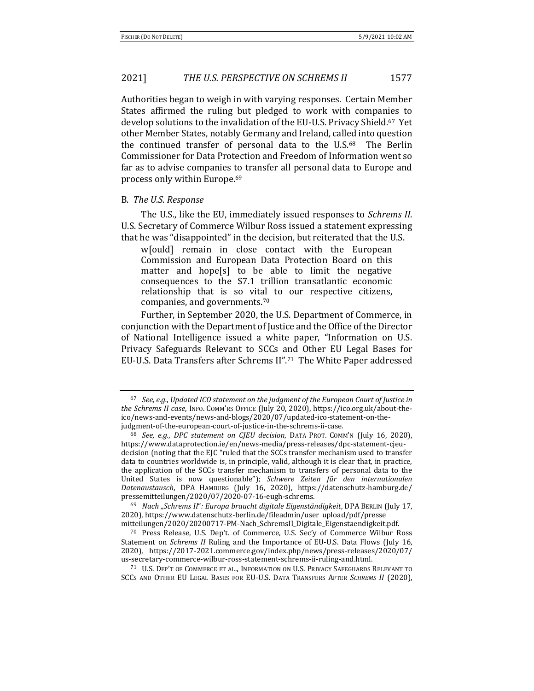Authorities began to weigh in with varying responses. Certain Member States affirmed the ruling but pledged to work with companies to develop solutions to the invalidation of the EU-U.S. Privacy Shield.67 Yet other Member States, notably Germany and Ireland, called into question the continued transfer of personal data to the U.S.<sup>68</sup> The Berlin Commissioner for Data Protection and Freedom of Information went so far as to advise companies to transfer all personal data to Europe and process only within Europe.<sup>69</sup>

#### B. *The U.S. Response*

The U.S., like the EU, immediately issued responses to *Schrems II*. U.S. Secretary of Commerce Wilbur Ross issued a statement expressing that he was "disappointed" in the decision, but reiterated that the U.S.

w[ould] remain in close contact with the European Commission and European Data Protection Board on this matter and hope[s] to be able to limit the negative consequences to the \$7.1 trillion transatlantic economic relationship that is so vital to our respective citizens, companies, and governments.<sup>70</sup>

Further, in September 2020, the U.S. Department of Commerce, in conjunction with the Department of Justice and the Office of the Director of National Intelligence issued a white paper, "Information on U.S. Privacy Safeguards Relevant to SCCs and Other EU Legal Bases for EU-U.S. Data Transfers after Schrems II".71 The White Paper addressed

<sup>69</sup> *Nach "Schrems II*"*: Europa braucht digitale Eigenständigkeit*, DPA BERLIN (July 17, 2020), https://www.datenschutz-berlin.de/fileadmin/user\_upload/pdf/presse mitteilungen/2020/20200717-PM-Nach\_SchremsII\_Digitale\_Eigenstaendigkeit.pdf.

<sup>70</sup> Press Release, U.S. Dep't. of Commerce, U.S. Sec'y of Commerce Wilbur Ross Statement on *Schrems II* Ruling and the Importance of EU-U.S. Data Flows (July 16, 2020), https://2017-2021.commerce.gov/index.php/news/press-releases/2020/07/ us-secretary-commerce-wilbur-ross-statement-schrems-ii-ruling-and.html.

<sup>71</sup> U.S. DEP'T OF COMMERCE ET AL., INFORMATION ON U.S. PRIVACY SAFEGUARDS RELEVANT TO SCCS AND OTHER EU LEGAL BASES FOR EU-U.S. DATA TRANSFERS AFTER *SCHREMS II* (2020),

<sup>67</sup> *See, e.g.*, *Updated ICO statement on the judgment of the European Court of Justice in the Schrems II case*, INFO. COMM'RS OFFICE (July 20, 2020), https://ico.org.uk/about-theico/news-and-events/news-and-blogs/2020/07/updated-ico-statement-on-thejudgment-of-the-european-court-of-justice-in-the-schrems-ii-case.

<sup>68</sup> *See, e.g.*, *DPC statement on CJEU decision*, DATA PROT. COMM'N (July 16, 2020), https://www.dataprotection.ie/en/news-media/press-releases/dpc-statement-cjeudecision (noting that the EJC "ruled that the SCCs transfer mechanism used to transfer data to countries worldwide is, in principle, valid, although it is clear that, in practice, the application of the SCCs transfer mechanism to transfers of personal data to the United States is now questionable"); *Schwere Zeiten für den internationalen Datenaustausch*, DPA HAMBURG (July 16, 2020), https://datenschutz-hamburg.de/ pressemitteilungen/2020/07/2020-07-16-eugh-schrems.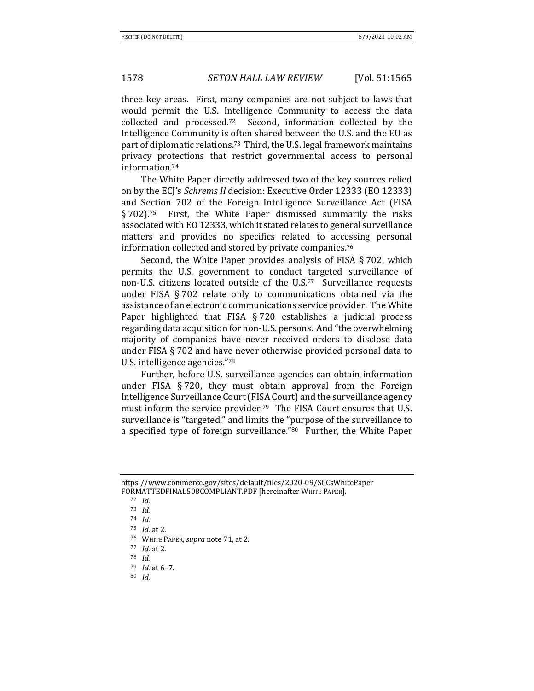three key areas. First, many companies are not subject to laws that would permit the U.S. Intelligence Community to access the data collected and processed.72 Second, information collected by the Intelligence Community is often shared between the U.S. and the EU as part of diplomatic relations.73 Third, the U.S. legal framework maintains privacy protections that restrict governmental access to personal information.<sup>74</sup>

The White Paper directly addressed two of the key sources relied on by the ECJ's *Schrems II* decision: Executive Order 12333 (EO 12333) and Section 702 of the Foreign Intelligence Surveillance Act (FISA § 702).75 First, the White Paper dismissed summarily the risks associated with EO 12333, which it stated relates to general surveillance matters and provides no specifics related to accessing personal information collected and stored by private companies.<sup>76</sup>

Second, the White Paper provides analysis of FISA § 702, which permits the U.S. government to conduct targeted surveillance of non-U.S. citizens located outside of the U.S.<sup>77</sup> Surveillance requests under FISA § 702 relate only to communications obtained via the assistance of an electronic communications service provider. The White Paper highlighted that FISA § 720 establishes a judicial process regarding data acquisition for non-U.S. persons. And "the overwhelming majority of companies have never received orders to disclose data under FISA § 702 and have never otherwise provided personal data to U.S. intelligence agencies."<sup>78</sup>

Further, before U.S. surveillance agencies can obtain information under FISA § 720, they must obtain approval from the Foreign Intelligence Surveillance Court (FISA Court) and the surveillance agency must inform the service provider.<sup>79</sup> The FISA Court ensures that U.S. surveillance is "targeted," and limits the "purpose of the surveillance to a specified type of foreign surveillance."80 Further, the White Paper

https://www.commerce.gov/sites/default/files/2020-09/SCCsWhitePaper FORMATTEDFINAL508COMPLIANT.PDF [hereinafter WHITE PAPER].

<sup>72</sup> *Id.*

<sup>73</sup> *Id.*

<sup>74</sup> *Id.*

<sup>75</sup> *Id.* at 2.

<sup>76</sup> WHITE PAPER, *supra* note 71, at 2.

<sup>77</sup> *Id.* at 2.

<sup>78</sup> *Id.*

<sup>79</sup> *Id.* at 6–7.

<sup>80</sup> *Id.*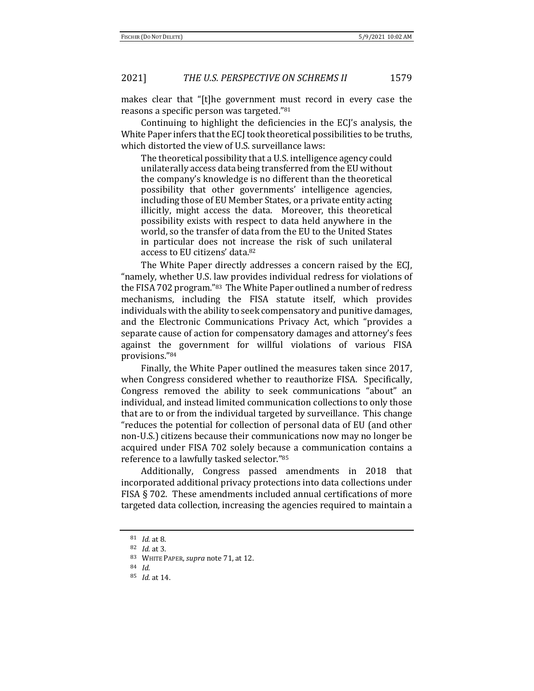makes clear that "[t]he government must record in every case the reasons a specific person was targeted."<sup>81</sup>

Continuing to highlight the deficiencies in the ECJ's analysis, the White Paper infers that the ECJ took theoretical possibilities to be truths, which distorted the view of U.S. surveillance laws:

The theoretical possibility that a U.S. intelligence agency could unilaterally access data being transferred from the EU without the company's knowledge is no different than the theoretical possibility that other governments' intelligence agencies, including those of EU Member States, or a private entity acting illicitly, might access the data. Moreover, this theoretical possibility exists with respect to data held anywhere in the world, so the transfer of data from the EU to the United States in particular does not increase the risk of such unilateral access to EU citizens' data.<sup>82</sup>

The White Paper directly addresses a concern raised by the ECJ, "namely, whether U.S. law provides individual redress for violations of the FISA 702 program."83 The White Paper outlined a number of redress mechanisms, including the FISA statute itself, which provides individuals with the ability to seek compensatory and punitive damages, and the Electronic Communications Privacy Act, which "provides a separate cause of action for compensatory damages and attorney's fees against the government for willful violations of various FISA provisions."<sup>84</sup>

Finally, the White Paper outlined the measures taken since 2017, when Congress considered whether to reauthorize FISA. Specifically, Congress removed the ability to seek communications "about" an individual, and instead limited communication collections to only those that are to or from the individual targeted by surveillance. This change "reduces the potential for collection of personal data of EU (and other non-U.S.) citizens because their communications now may no longer be acquired under FISA 702 solely because a communication contains a reference to a lawfully tasked selector."<sup>85</sup>

Additionally, Congress passed amendments in 2018 that incorporated additional privacy protections into data collections under FISA § 702. These amendments included annual certifications of more targeted data collection, increasing the agencies required to maintain a

<sup>81</sup> *Id.* at 8.

<sup>82</sup> *Id.* at 3.

<sup>83</sup> WHITE PAPER, *supra* note 71, at 12.

<sup>84</sup> *Id.*

<sup>85</sup> *Id.* at 14.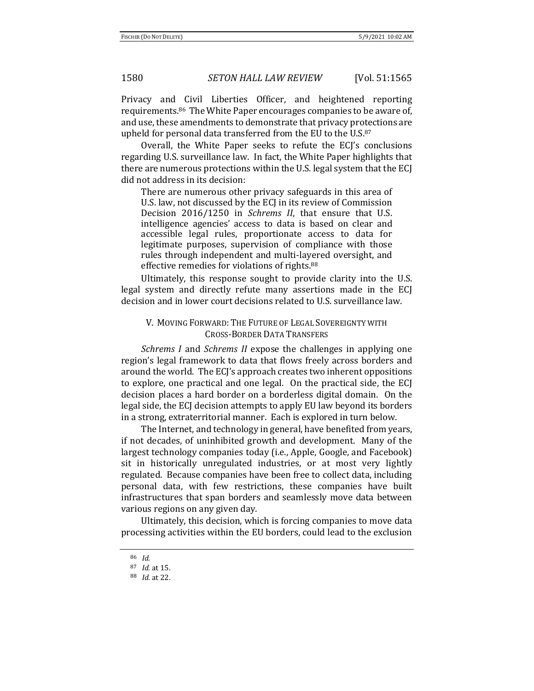Privacy and Civil Liberties Officer, and heightened reporting requirements.86 The White Paper encourages companies to be aware of, and use, these amendments to demonstrate that privacy protections are upheld for personal data transferred from the EU to the U.S.<sup>87</sup>

Overall, the White Paper seeks to refute the ECJ's conclusions regarding U.S. surveillance law. In fact, the White Paper highlights that there are numerous protections within the U.S. legal system that the ECJ did not address in its decision:

There are numerous other privacy safeguards in this area of U.S. law, not discussed by the ECJ in its review of Commission Decision 2016/1250 in *Schrems II*, that ensure that U.S. intelligence agencies' access to data is based on clear and accessible legal rules, proportionate access to data for legitimate purposes, supervision of compliance with those rules through independent and multi-layered oversight, and effective remedies for violations of rights.<sup>88</sup>

Ultimately, this response sought to provide clarity into the U.S. legal system and directly refute many assertions made in the ECJ decision and in lower court decisions related to U.S. surveillance law.

## V. MOVING FORWARD: THE FUTURE OF LEGAL SOVEREIGNTY WITH CROSS-BORDER DATA TRANSFERS

*Schrems I* and *Schrems II* expose the challenges in applying one region's legal framework to data that flows freely across borders and around the world. The ECJ's approach creates two inherent oppositions to explore, one practical and one legal. On the practical side, the ECJ decision places a hard border on a borderless digital domain. On the legal side, the ECJ decision attempts to apply EU law beyond its borders in a strong, extraterritorial manner. Each is explored in turn below.

The Internet, and technology in general, have benefited from years, if not decades, of uninhibited growth and development. Many of the largest technology companies today (i.e., Apple, Google, and Facebook) sit in historically unregulated industries, or at most very lightly regulated. Because companies have been free to collect data, including personal data, with few restrictions, these companies have built infrastructures that span borders and seamlessly move data between various regions on any given day.

Ultimately, this decision, which is forcing companies to move data processing activities within the EU borders, could lead to the exclusion

<sup>86</sup> *Id.*

<sup>87</sup> *Id.* at 15.

<sup>88</sup> *Id.* at 22.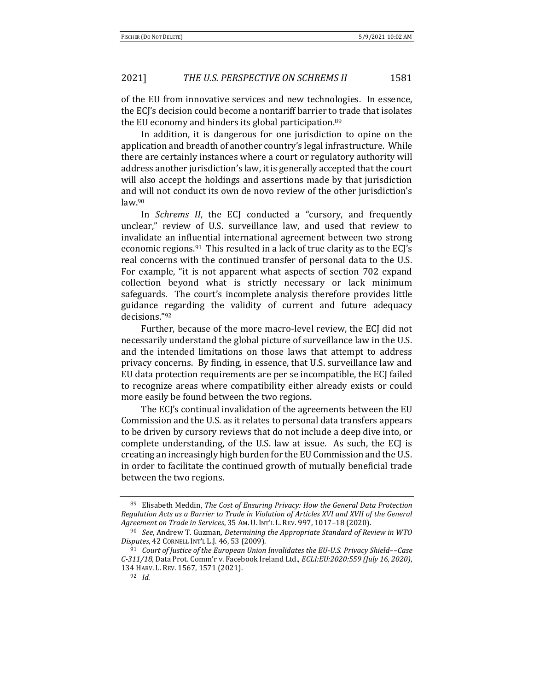of the EU from innovative services and new technologies. In essence, the ECJ's decision could become a nontariff barrier to trade that isolates the EU economy and hinders its global participation.<sup>89</sup>

In addition, it is dangerous for one jurisdiction to opine on the application and breadth of another country's legal infrastructure. While there are certainly instances where a court or regulatory authority will address another jurisdiction's law, it is generally accepted that the court will also accept the holdings and assertions made by that jurisdiction and will not conduct its own de novo review of the other jurisdiction's law.<sup>90</sup>

In *Schrems II*, the ECJ conducted a "cursory, and frequently unclear," review of U.S. surveillance law, and used that review to invalidate an influential international agreement between two strong economic regions.<sup>91</sup> This resulted in a lack of true clarity as to the ECJ's real concerns with the continued transfer of personal data to the U.S. For example, "it is not apparent what aspects of section 702 expand collection beyond what is strictly necessary or lack minimum safeguards. The court's incomplete analysis therefore provides little guidance regarding the validity of current and future adequacy decisions."<sup>92</sup>

Further, because of the more macro-level review, the ECJ did not necessarily understand the global picture of surveillance law in the U.S. and the intended limitations on those laws that attempt to address privacy concerns. By finding, in essence, that U.S. surveillance law and EU data protection requirements are per se incompatible, the ECJ failed to recognize areas where compatibility either already exists or could more easily be found between the two regions.

The ECJ's continual invalidation of the agreements between the EU Commission and the U.S. as it relates to personal data transfers appears to be driven by cursory reviews that do not include a deep dive into, or complete understanding, of the U.S. law at issue. As such, the ECJ is creating an increasingly high burden for the EU Commission and the U.S. in order to facilitate the continued growth of mutually beneficial trade between the two regions.

<sup>89</sup> Elisabeth Meddin, *The Cost of Ensuring Privacy: How the General Data Protection Regulation Acts as a Barrier to Trade in Violation of Articles XVI and XVII of the General Agreement on Trade in Services*, 35 AM. U. INT'L L. REV. 997, 1017–18 (2020).

<sup>90</sup> *See*, Andrew T. Guzman, *Determining the Appropriate Standard of Review in WTO Disputes*, 42 CORNELL INT'L L.J. 46, 53 (2009).

<sup>91</sup> *Court of Justice of the European Union Invalidates the EU-U.S. Privacy Shield*––*Case C-311/18,* Data Prot. Comm'r v. Facebook Ireland Ltd., *ECLI:EU:2020:559 (July 16, 2020)*, 134 HARV. L. REV. 1567, 1571 (2021).

<sup>92</sup> *Id.*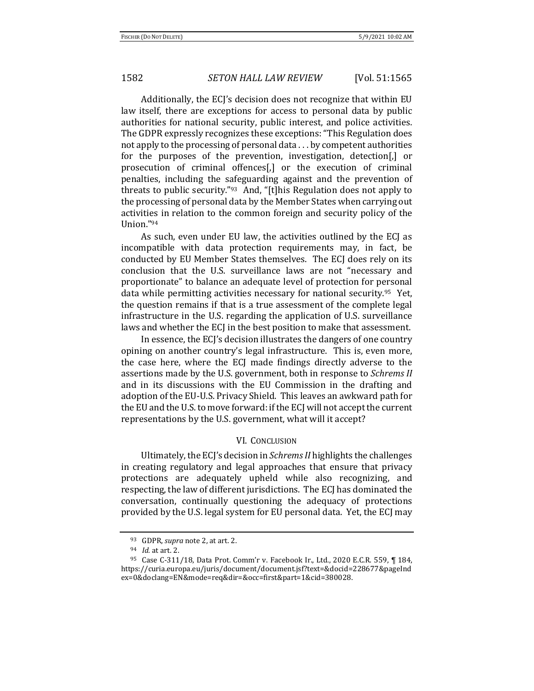Additionally, the ECJ's decision does not recognize that within EU law itself, there are exceptions for access to personal data by public authorities for national security, public interest, and police activities. The GDPR expressly recognizes these exceptions: "This Regulation does not apply to the processing of personal data . . . by competent authorities for the purposes of the prevention, investigation, detection[,] or prosecution of criminal offences[,] or the execution of criminal penalties, including the safeguarding against and the prevention of threats to public security."<sup>93</sup> And, "[t]his Regulation does not apply to the processing of personal data by the Member States when carrying out activities in relation to the common foreign and security policy of the Union."<sup>94</sup>

As such, even under EU law, the activities outlined by the ECJ as incompatible with data protection requirements may, in fact, be conducted by EU Member States themselves. The ECJ does rely on its conclusion that the U.S. surveillance laws are not "necessary and proportionate" to balance an adequate level of protection for personal data while permitting activities necessary for national security.95 Yet, the question remains if that is a true assessment of the complete legal infrastructure in the U.S. regarding the application of U.S. surveillance laws and whether the ECJ in the best position to make that assessment.

In essence, the ECJ's decision illustrates the dangers of one country opining on another country's legal infrastructure. This is, even more, the case here, where the ECJ made findings directly adverse to the assertions made by the U.S. government, both in response to *Schrems II* and in its discussions with the EU Commission in the drafting and adoption of the EU-U.S. Privacy Shield. This leaves an awkward path for the EU and the U.S. to move forward: if the ECJ will not accept the current representations by the U.S. government, what will it accept?

### VI. CONCLUSION

Ultimately, the ECJ's decision in *Schrems II* highlights the challenges in creating regulatory and legal approaches that ensure that privacy protections are adequately upheld while also recognizing, and respecting, the law of different jurisdictions. The ECJ has dominated the conversation, continually questioning the adequacy of protections provided by the U.S. legal system for EU personal data. Yet, the ECJ may

<sup>93</sup> GDPR, *supra* note 2, at art. 2.

<sup>94</sup> *Id.* at art. 2.

<sup>95</sup> Case C-311/18, Data Prot. Comm'r v. Facebook Ir., Ltd., 2020 E.C.R. 559, ¶ 184, https://curia.europa.eu/juris/document/document.jsf?text=&docid=228677&pageInd ex=0&doclang=EN&mode=req&dir=&occ=first&part=1&cid=380028.